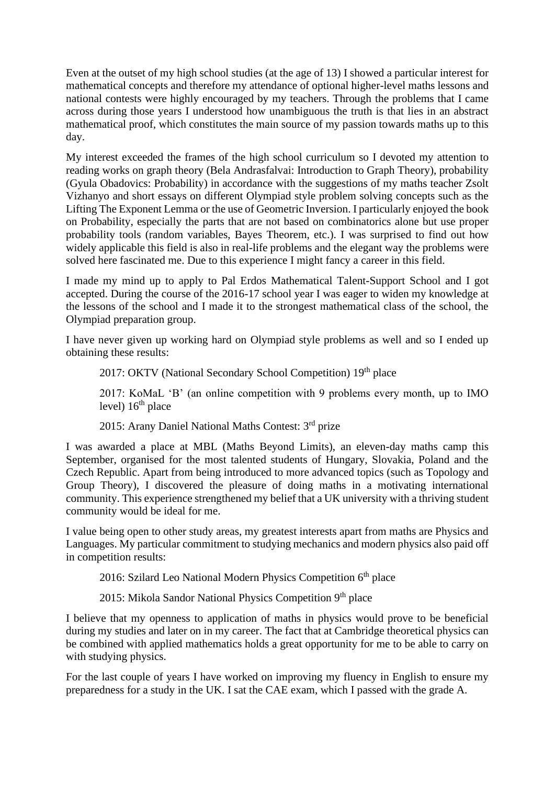Even at the outset of my high school studies (at the age of 13) I showed a particular interest for mathematical concepts and therefore my attendance of optional higher-level maths lessons and national contests were highly encouraged by my teachers. Through the problems that I came across during those years I understood how unambiguous the truth is that lies in an abstract mathematical proof, which constitutes the main source of my passion towards maths up to this day.

My interest exceeded the frames of the high school curriculum so I devoted my attention to reading works on graph theory (Bela Andrasfalvai: Introduction to Graph Theory), probability (Gyula Obadovics: Probability) in accordance with the suggestions of my maths teacher Zsolt Vizhanyo and short essays on different Olympiad style problem solving concepts such as the Lifting The Exponent Lemma or the use of Geometric Inversion. I particularly enjoyed the book on Probability, especially the parts that are not based on combinatorics alone but use proper probability tools (random variables, Bayes Theorem, etc.). I was surprised to find out how widely applicable this field is also in real-life problems and the elegant way the problems were solved here fascinated me. Due to this experience I might fancy a career in this field.

I made my mind up to apply to Pal Erdos Mathematical Talent-Support School and I got accepted. During the course of the 2016-17 school year I was eager to widen my knowledge at the lessons of the school and I made it to the strongest mathematical class of the school, the Olympiad preparation group.

I have never given up working hard on Olympiad style problems as well and so I ended up obtaining these results:

2017: OKTV (National Secondary School Competition) 19<sup>th</sup> place

2017: KoMaL 'B' (an online competition with 9 problems every month, up to IMO level)  $16<sup>th</sup>$  place

2015: Arany Daniel National Maths Contest: 3rd prize

I was awarded a place at MBL (Maths Beyond Limits), an eleven-day maths camp this September, organised for the most talented students of Hungary, Slovakia, Poland and the Czech Republic. Apart from being introduced to more advanced topics (such as Topology and Group Theory), I discovered the pleasure of doing maths in a motivating international community. This experience strengthened my belief that a UK university with a thriving student community would be ideal for me.

I value being open to other study areas, my greatest interests apart from maths are Physics and Languages. My particular commitment to studying mechanics and modern physics also paid off in competition results:

2016: Szilard Leo National Modern Physics Competition 6<sup>th</sup> place

2015: Mikola Sandor National Physics Competition 9<sup>th</sup> place

I believe that my openness to application of maths in physics would prove to be beneficial during my studies and later on in my career. The fact that at Cambridge theoretical physics can be combined with applied mathematics holds a great opportunity for me to be able to carry on with studying physics.

For the last couple of years I have worked on improving my fluency in English to ensure my preparedness for a study in the UK. I sat the CAE exam, which I passed with the grade A.